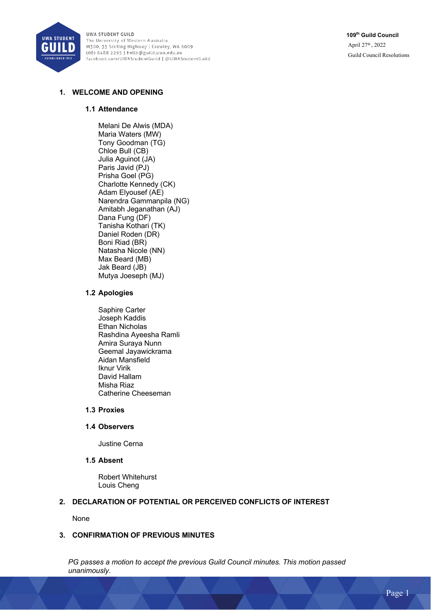

**109th Guild Council** April 27th , 2022 Guild Council Resolutions

# **1. WELCOME AND OPENING**

#### **1.1 Attendance**

Melani De Alwis (MDA) Maria Waters (MW) Tony Goodman (TG) Chloe Bull (CB) Julia Aguinot (JA) Paris Javid (PJ) Prisha Goel (PG) Charlotte Kennedy (CK) Adam Elyousef (AE) Narendra Gammanpila (NG) Amitabh Jeganathan (AJ) Dana Fung (DF) Tanisha Kothari (TK) Daniel Roden (DR) Boni Riad (BR) Natasha Nicole (NN) Max Beard (MB) Jak Beard (JB) Mutya Joeseph (MJ)

#### **1.2 Apologies**

Saphire Carter Joseph Kaddis Ethan Nicholas Rashdina Ayeesha Ramli Amira Suraya Nunn Geemal Jayawickrama Aidan Mansfield Iknur Virik David Hallam Misha Riaz Catherine Cheeseman

## **1.3 Proxies**

#### **1.4 Observers**

Justine Cerna

## **1.5 Absent**

Robert Whitehurst Louis Cheng

#### **2. DECLARATION OF POTENTIAL OR PERCEIVED CONFLICTS OF INTEREST**

None

## **3. CONFIRMATION OF PREVIOUS MINUTES**

*PG passes a motion to accept the previous Guild Council minutes. This motion passed unanimously.*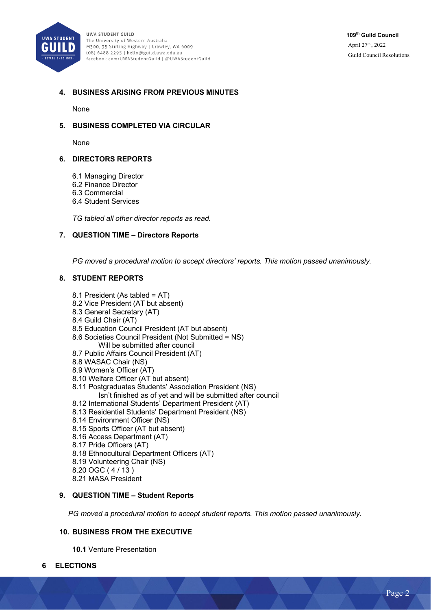

# **4. BUSINESS ARISING FROM PREVIOUS MINUTES**

None

## **5. BUSINESS COMPLETED VIA CIRCULAR**

None

## **6. DIRECTORS REPORTS**

- 6.1 Managing Director
- 6.2 Finance Director
- 6.3 Commercial
- 6.4 Student Services

*TG tabled all other director reports as read.* 

#### **7. QUESTION TIME – Directors Reports**

*PG moved a procedural motion to accept directors' reports. This motion passed unanimously.* 

#### **8. STUDENT REPORTS**

- 8.1 President (As tabled = AT)
- 8.2 Vice President (AT but absent)
- 8.3 General Secretary (AT)
- 8.4 Guild Chair (AT)
- 8.5 Education Council President (AT but absent)
- 8.6 Societies Council President (Not Submitted = NS) Will be submitted after council
- 8.7 Public Affairs Council President (AT)
- 8.8 WASAC Chair (NS)
- 8.9 Women's Officer (AT)
- 8.10 Welfare Officer (AT but absent)
- 8.11 Postgraduates Students' Association President (NS)
	- Isn't finished as of yet and will be submitted after council
- 8.12 International Students' Department President (AT)
- 8.13 Residential Students' Department President (NS)
- 8.14 Environment Officer (NS)
- 8.15 Sports Officer (AT but absent)
- 8.16 Access Department (AT)
- 8.17 Pride Officers (AT)
- 8.18 Ethnocultural Department Officers (AT)
- 8.19 Volunteering Chair (NS)
- 8.20 OGC ( 4 / 13 )
- 8.21 MASA President

### **9. QUESTION TIME – Student Reports**

*PG moved a procedural motion to accept student reports. This motion passed unanimously.* 

## **10. BUSINESS FROM THE EXECUTIVE**

**10.1** Venture Presentation

**6 ELECTIONS**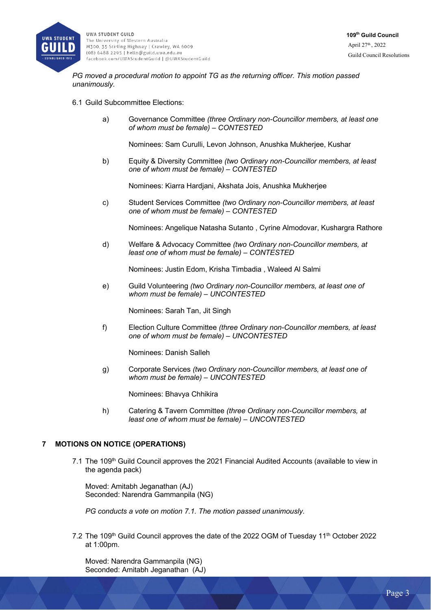

*PG moved a procedural motion to appoint TG as the returning officer. This motion passed unanimously.* 

#### 6.1 Guild Subcommittee Elections:

a) Governance Committee *(three Ordinary non-Councillor members, at least one of whom must be female) – CONTESTED*

Nominees: Sam Curulli, Levon Johnson, Anushka Mukherjee, Kushar

b) Equity & Diversity Committee *(two Ordinary non-Councillor members, at least one of whom must be female) – CONTESTED*

Nominees: Kiarra Hardjani, Akshata Jois, Anushka Mukherjee

c) Student Services Committee *(two Ordinary non-Councillor members, at least one of whom must be female) – CONTESTED*

Nominees: Angelique Natasha Sutanto , Cyrine Almodovar, Kushargra Rathore

d) Welfare & Advocacy Committee *(two Ordinary non-Councillor members, at least one of whom must be female) – CONTESTED*

Nominees: Justin Edom, Krisha Timbadia , Waleed Al Salmi

e) Guild Volunteering *(two Ordinary non-Councillor members, at least one of whom must be female) – UNCONTESTED*

Nominees: Sarah Tan, Jit Singh

f) Election Culture Committee *(three Ordinary non-Councillor members, at least one of whom must be female) – UNCONTESTED*

Nominees: Danish Salleh

g) Corporate Services *(two Ordinary non-Councillor members, at least one of whom must be female) – UNCONTESTED*

Nominees: Bhavya Chhikira

h) Catering & Tavern Committee *(three Ordinary non-Councillor members, at least one of whom must be female) – UNCONTESTED*

#### **7 MOTIONS ON NOTICE (OPERATIONS)**

7.1 The 109<sup>th</sup> Guild Council approves the 2021 Financial Audited Accounts (available to view in the agenda pack)

Moved: Amitabh Jeganathan (AJ) Seconded: Narendra Gammanpila (NG)

*PG conducts a vote on motion 7.1. The motion passed unanimously.* 

7.2 The 109<sup>th</sup> Guild Council approves the date of the 2022 OGM of Tuesday 11<sup>th</sup> October 2022 at 1:00pm.

Moved: Narendra Gammanpila (NG) Seconded: Amitabh Jeganathan (AJ)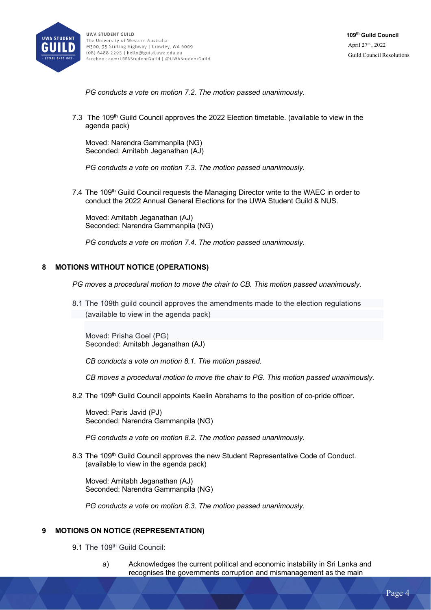

*PG conducts a vote on motion 7.2. The motion passed unanimously.* 

7.3 The 109<sup>th</sup> Guild Council approves the 2022 Election timetable. (available to view in the agenda pack)

Moved: Narendra Gammanpila (NG) Seconded: Amitabh Jeganathan (AJ)

*PG conducts a vote on motion 7.3. The motion passed unanimously.* 

7.4 The 109<sup>th</sup> Guild Council requests the Managing Director write to the WAEC in order to conduct the 2022 Annual General Elections for the UWA Student Guild & NUS.

Moved: Amitabh Jeganathan (AJ) Seconded: Narendra Gammanpila (NG)

*PG conducts a vote on motion 7.4. The motion passed unanimously.* 

## **8 MOTIONS WITHOUT NOTICE (OPERATIONS)**

*PG moves a procedural motion to move the chair to CB. This motion passed unanimously.* 

8.1 The 109th guild council approves the amendments made to the election regulations (available to view in the agenda pack)

Moved: Prisha Goel (PG) Seconded: Amitabh Jeganathan (AJ)

*CB conducts a vote on motion 8.1. The motion passed.* 

*CB moves a procedural motion to move the chair to PG. This motion passed unanimously.* 

8.2 The 109<sup>th</sup> Guild Council appoints Kaelin Abrahams to the position of co-pride officer.

Moved: Paris Javid (PJ) Seconded: Narendra Gammanpila (NG)

*PG conducts a vote on motion 8.2. The motion passed unanimously.* 

8.3 The 109<sup>th</sup> Guild Council approves the new Student Representative Code of Conduct. (available to view in the agenda pack)

Moved: Amitabh Jeganathan (AJ) Seconded: Narendra Gammanpila (NG)

*PG conducts a vote on motion 8.3. The motion passed unanimously.* 

## **9 MOTIONS ON NOTICE (REPRESENTATION)**

9.1 The 109<sup>th</sup> Guild Council:

a) Acknowledges the current political and economic instability in Sri Lanka and recognises the governments corruption and mismanagement as the main